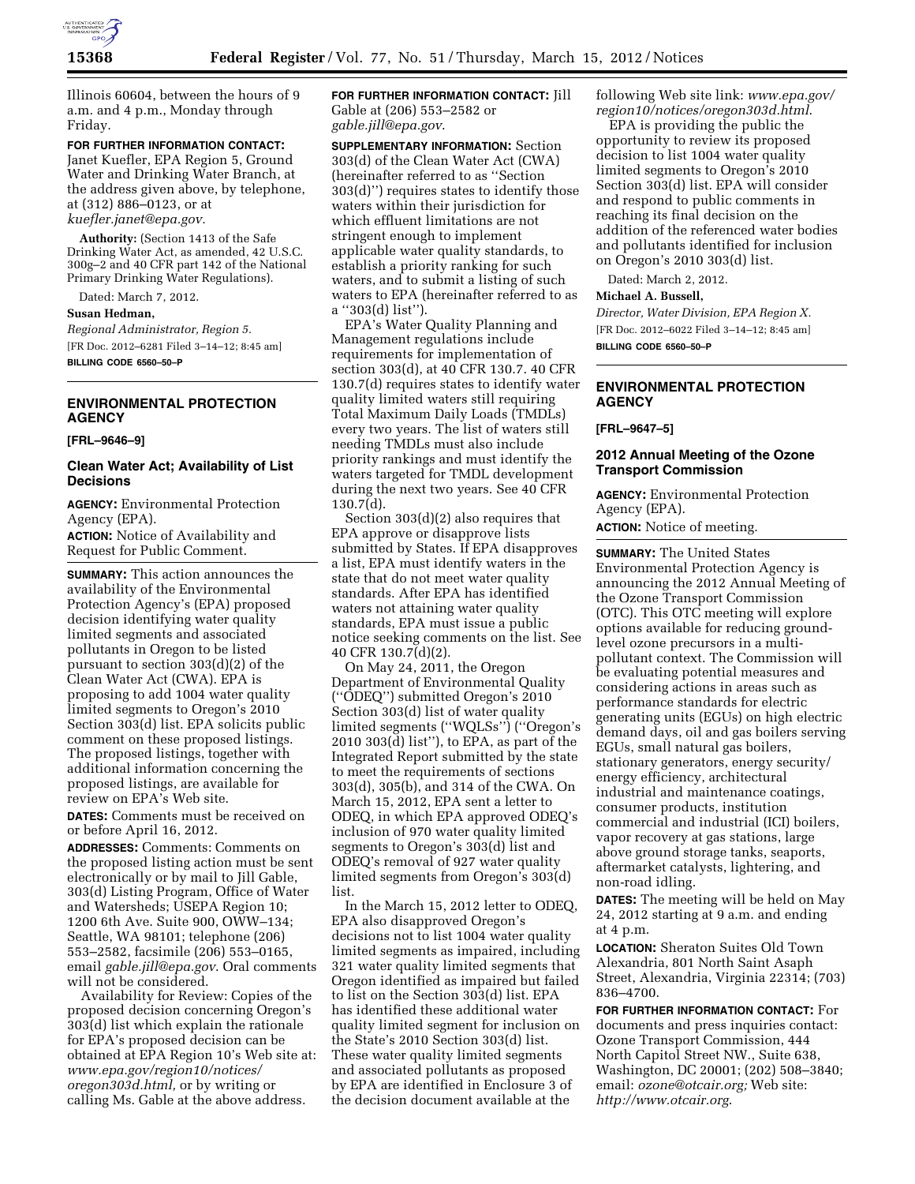

Illinois 60604, between the hours of 9 a.m. and 4 p.m., Monday through Friday.

**FOR FURTHER INFORMATION CONTACT:**  Janet Kuefler, EPA Region 5, Ground Water and Drinking Water Branch, at the address given above, by telephone, at (312) 886–0123, or at *[kuefler.janet@epa.gov.](mailto:kuefler.janet@epa.gov)* 

**Authority:** (Section 1413 of the Safe Drinking Water Act, as amended, 42 U.S.C. 300g–2 and 40 CFR part 142 of the National Primary Drinking Water Regulations).

Dated: March 7, 2012.

**Susan Hedman,** 

*Regional Administrator, Region 5.*  [FR Doc. 2012–6281 Filed 3–14–12; 8:45 am] **BILLING CODE 6560–50–P** 

# **ENVIRONMENTAL PROTECTION AGENCY**

#### **[FRL–9646–9]**

## **Clean Water Act; Availability of List Decisions**

**AGENCY:** Environmental Protection Agency (EPA).

**ACTION:** Notice of Availability and Request for Public Comment.

**SUMMARY:** This action announces the availability of the Environmental Protection Agency's (EPA) proposed decision identifying water quality limited segments and associated pollutants in Oregon to be listed pursuant to section 303(d)(2) of the Clean Water Act (CWA). EPA is proposing to add 1004 water quality limited segments to Oregon's 2010 Section 303(d) list. EPA solicits public comment on these proposed listings. The proposed listings, together with additional information concerning the proposed listings, are available for review on EPA's Web site.

**DATES:** Comments must be received on or before April 16, 2012.

**ADDRESSES:** Comments: Comments on the proposed listing action must be sent electronically or by mail to Jill Gable, 303(d) Listing Program, Office of Water and Watersheds; USEPA Region 10; 1200 6th Ave. Suite 900, OWW–134; Seattle, WA 98101; telephone (206) 553–2582, facsimile (206) 553–0165, email *[gable.jill@epa.gov](mailto:gable.jill@epa.gov)*. Oral comments will not be considered.

Availability for Review: Copies of the proposed decision concerning Oregon's 303(d) list which explain the rationale for EPA's proposed decision can be obtained at EPA Region 10's Web site at: *[www.epa.gov/region10/notices/](http://www.epa.gov/region10/notices/oregon303d.html) [oregon303d.html,](http://www.epa.gov/region10/notices/oregon303d.html)* or by writing or calling Ms. Gable at the above address.

**FOR FURTHER INFORMATION CONTACT:** Jill Gable at (206) 553–2582 or *[gable.jill@epa.gov](mailto:gable.jill@epa.gov)*.

**SUPPLEMENTARY INFORMATION:** Section 303(d) of the Clean Water Act (CWA) (hereinafter referred to as ''Section 303(d)'') requires states to identify those waters within their jurisdiction for which effluent limitations are not stringent enough to implement applicable water quality standards, to establish a priority ranking for such waters, and to submit a listing of such waters to EPA (hereinafter referred to as a ''303(d) list'').

EPA's Water Quality Planning and Management regulations include requirements for implementation of section 303(d), at 40 CFR 130.7. 40 CFR 130.7(d) requires states to identify water quality limited waters still requiring Total Maximum Daily Loads (TMDLs) every two years. The list of waters still needing TMDLs must also include priority rankings and must identify the waters targeted for TMDL development during the next two years. See 40 CFR 130.7(d).

Section 303(d)(2) also requires that EPA approve or disapprove lists submitted by States. If EPA disapproves a list, EPA must identify waters in the state that do not meet water quality standards. After EPA has identified waters not attaining water quality standards, EPA must issue a public notice seeking comments on the list. See 40 CFR 130.7(d)(2).

On May 24, 2011, the Oregon Department of Environmental Quality (''ODEQ'') submitted Oregon's 2010 Section 303(d) list of water quality limited segments (''WQLSs'') (''Oregon's 2010 303(d) list''), to EPA, as part of the Integrated Report submitted by the state to meet the requirements of sections 303(d), 305(b), and 314 of the CWA. On March 15, 2012, EPA sent a letter to ODEQ, in which EPA approved ODEQ's inclusion of 970 water quality limited segments to Oregon's 303(d) list and ODEQ's removal of 927 water quality limited segments from Oregon's 303(d) list.

In the March 15, 2012 letter to ODEQ, EPA also disapproved Oregon's decisions not to list 1004 water quality limited segments as impaired, including 321 water quality limited segments that Oregon identified as impaired but failed to list on the Section 303(d) list. EPA has identified these additional water quality limited segment for inclusion on the State's 2010 Section 303(d) list. These water quality limited segments and associated pollutants as proposed by EPA are identified in Enclosure 3 of the decision document available at the

following Web site link: *[www.epa.gov/](http://www.epa.gov/region10/notices/oregon303d.html)  [region10/notices/oregon303d.html](http://www.epa.gov/region10/notices/oregon303d.html)*.

EPA is providing the public the opportunity to review its proposed decision to list 1004 water quality limited segments to Oregon's 2010 Section 303(d) list. EPA will consider and respond to public comments in reaching its final decision on the addition of the referenced water bodies and pollutants identified for inclusion on Oregon's 2010 303(d) list.

Dated: March 2, 2012.

#### **Michael A. Bussell,**

*Director, Water Division, EPA Region X.*  [FR Doc. 2012–6022 Filed 3–14–12; 8:45 am] **BILLING CODE 6560–50–P** 

## **ENVIRONMENTAL PROTECTION AGENCY**

**[FRL–9647–5]** 

#### **2012 Annual Meeting of the Ozone Transport Commission**

**AGENCY:** Environmental Protection Agency (EPA).

**ACTION:** Notice of meeting.

**SUMMARY:** The United States Environmental Protection Agency is announcing the 2012 Annual Meeting of the Ozone Transport Commission (OTC). This OTC meeting will explore options available for reducing groundlevel ozone precursors in a multipollutant context. The Commission will be evaluating potential measures and considering actions in areas such as performance standards for electric generating units (EGUs) on high electric demand days, oil and gas boilers serving EGUs, small natural gas boilers, stationary generators, energy security/ energy efficiency, architectural industrial and maintenance coatings, consumer products, institution commercial and industrial (ICI) boilers, vapor recovery at gas stations, large above ground storage tanks, seaports, aftermarket catalysts, lightering, and non-road idling.

**DATES:** The meeting will be held on May 24, 2012 starting at 9 a.m. and ending at 4 p.m.

**LOCATION:** Sheraton Suites Old Town Alexandria, 801 North Saint Asaph Street, Alexandria, Virginia 22314; (703) 836–4700.

**FOR FURTHER INFORMATION CONTACT:** For documents and press inquiries contact: Ozone Transport Commission, 444 North Capitol Street NW., Suite 638, Washington, DC 20001; (202) 508–3840; email: *[ozone@otcair.org;](mailto:ozone@otcair.org)* Web site: *<http://www.otcair.org>*.